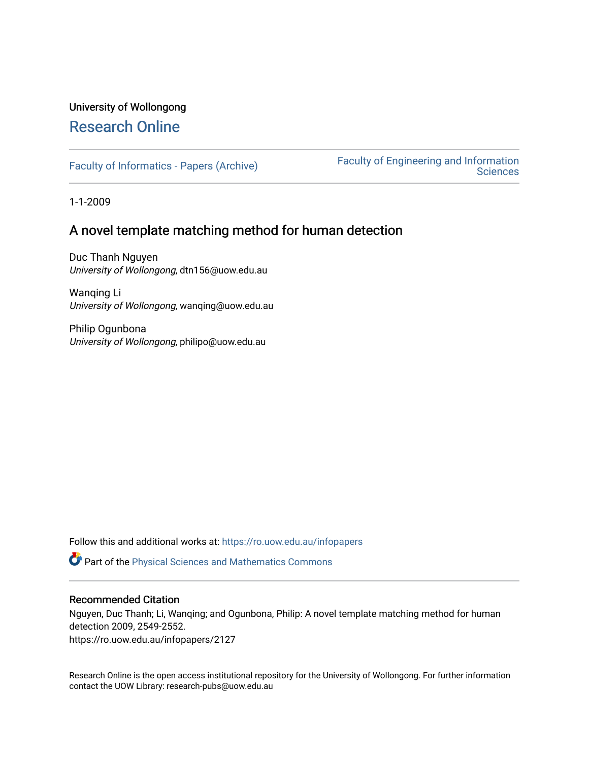# University of Wollongong [Research Online](https://ro.uow.edu.au/)

[Faculty of Informatics - Papers \(Archive\)](https://ro.uow.edu.au/infopapers) [Faculty of Engineering and Information](https://ro.uow.edu.au/eis)  **Sciences** 

1-1-2009

# A novel template matching method for human detection

Duc Thanh Nguyen University of Wollongong, dtn156@uow.edu.au

Wanqing Li University of Wollongong, wanqing@uow.edu.au

Philip Ogunbona University of Wollongong, philipo@uow.edu.au

Follow this and additional works at: [https://ro.uow.edu.au/infopapers](https://ro.uow.edu.au/infopapers?utm_source=ro.uow.edu.au%2Finfopapers%2F2127&utm_medium=PDF&utm_campaign=PDFCoverPages)

Part of the [Physical Sciences and Mathematics Commons](http://network.bepress.com/hgg/discipline/114?utm_source=ro.uow.edu.au%2Finfopapers%2F2127&utm_medium=PDF&utm_campaign=PDFCoverPages) 

## Recommended Citation

Nguyen, Duc Thanh; Li, Wanqing; and Ogunbona, Philip: A novel template matching method for human detection 2009, 2549-2552.

https://ro.uow.edu.au/infopapers/2127

Research Online is the open access institutional repository for the University of Wollongong. For further information contact the UOW Library: research-pubs@uow.edu.au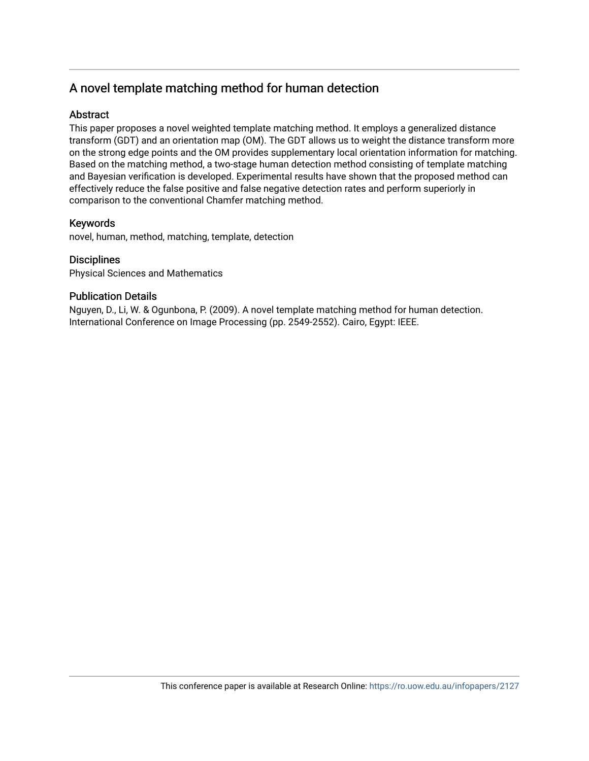# A novel template matching method for human detection

# **Abstract**

This paper proposes a novel weighted template matching method. It employs a generalized distance transform (GDT) and an orientation map (OM). The GDT allows us to weight the distance transform more on the strong edge points and the OM provides supplementary local orientation information for matching. Based on the matching method, a two-stage human detection method consisting of template matching and Bayesian verification is developed. Experimental results have shown that the proposed method can effectively reduce the false positive and false negative detection rates and perform superiorly in comparison to the conventional Chamfer matching method.

# Keywords

novel, human, method, matching, template, detection

# **Disciplines**

Physical Sciences and Mathematics

# Publication Details

Nguyen, D., Li, W. & Ogunbona, P. (2009). A novel template matching method for human detection. International Conference on Image Processing (pp. 2549-2552). Cairo, Egypt: IEEE.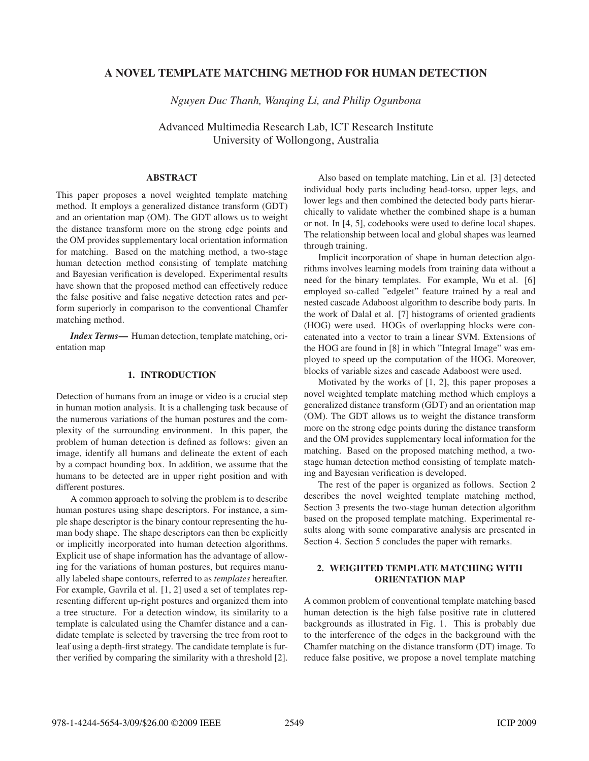## A NOVEL TEMPLATE MATCHING METHOD FOR HUMAN DETECTION

*Nguyen Duc Thanh, Wanqing Li, and Philip Ogunbona*

Advanced Multimedia Research Lab, ICT Research Institute University of Wollongong, Australia

## ABSTRACT

This paper proposes a novel weighted template matching method. It employs a generalized distance transform (GDT) and an orientation map (OM). The GDT allows us to weight the distance transform more on the strong edge points and the OM provides supplementary local orientation information for matching. Based on the matching method, a two-stage human detection method consisting of template matching and Bayesian verification is developed. Experimental results have shown that the proposed method can effectively reduce the false positive and false negative detection rates and perform superiorly in comparison to the conventional Chamfer matching method.

*Index Terms*— Human detection, template matching, orientation map

## 1. INTRODUCTION

Detection of humans from an image or video is a crucial step in human motion analysis. It is a challenging task because of the numerous variations of the human postures and the complexity of the surrounding environment. In this paper, the problem of human detection is defined as follows: given an image, identify all humans and delineate the extent of each by a compact bounding box. In addition, we assume that the humans to be detected are in upper right position and with different postures.

A common approach to solving the problem is to describe human postures using shape descriptors. For instance, a simple shape descriptor is the binary contour representing the human body shape. The shape descriptors can then be explicitly or implicitly incorporated into human detection algorithms. Explicit use of shape information has the advantage of allowing for the variations of human postures, but requires manually labeled shape contours, referred to as *templates* hereafter. For example, Gavrila et al. [1, 2] used a set of templates representing different up-right postures and organized them into a tree structure. For a detection window, its similarity to a template is calculated using the Chamfer distance and a candidate template is selected by traversing the tree from root to leaf using a depth-first strategy. The candidate template is further verified by comparing the similarity with a threshold [2].

Also based on template matching, Lin et al. [3] detected individual body parts including head-torso, upper legs, and lower legs and then combined the detected body parts hierarchically to validate whether the combined shape is a human or not. In [4, 5], codebooks were used to define local shapes. The relationship between local and global shapes was learned through training.

Implicit incorporation of shape in human detection algorithms involves learning models from training data without a need for the binary templates. For example, Wu et al. [6] employed so-called "edgelet" feature trained by a real and nested cascade Adaboost algorithm to describe body parts. In the work of Dalal et al. [7] histograms of oriented gradients (HOG) were used. HOGs of overlapping blocks were concatenated into a vector to train a linear SVM. Extensions of the HOG are found in [8] in which "Integral Image" was employed to speed up the computation of the HOG. Moreover, blocks of variable sizes and cascade Adaboost were used.

Motivated by the works of [1, 2], this paper proposes a novel weighted template matching method which employs a generalized distance transform (GDT) and an orientation map (OM). The GDT allows us to weight the distance transform more on the strong edge points during the distance transform and the OM provides supplementary local information for the matching. Based on the proposed matching method, a twostage human detection method consisting of template matching and Bayesian verification is developed.

The rest of the paper is organized as follows. Section 2 describes the novel weighted template matching method, Section 3 presents the two-stage human detection algorithm based on the proposed template matching. Experimental results along with some comparative analysis are presented in Section 4. Section 5 concludes the paper with remarks.

## 2. WEIGHTED TEMPLATE MATCHING WITH ORIENTATION MAP

A common problem of conventional template matching based human detection is the high false positive rate in cluttered backgrounds as illustrated in Fig. 1. This is probably due to the interference of the edges in the background with the Chamfer matching on the distance transform (DT) image. To reduce false positive, we propose a novel template matching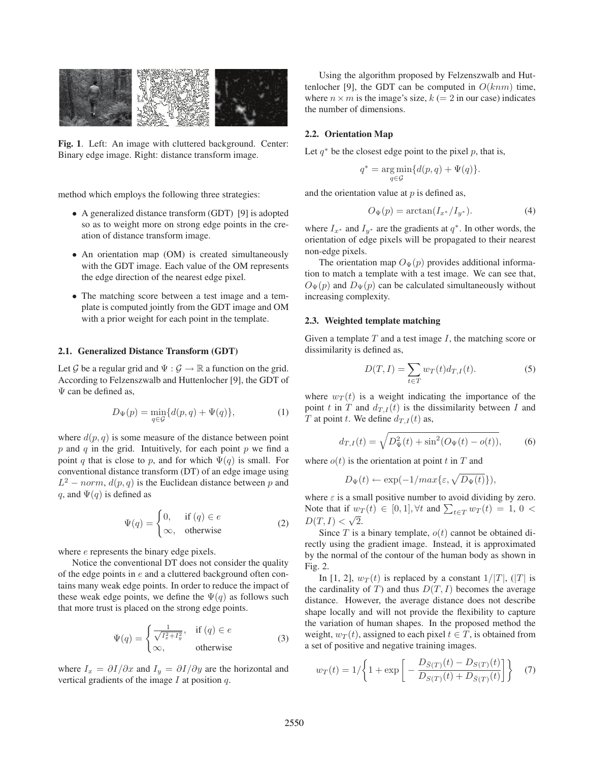

Fig. 1. Left: An image with cluttered background. Center: Binary edge image. Right: distance transform image.

method which employs the following three strategies:

- A generalized distance transform (GDT) [9] is adopted so as to weight more on strong edge points in the creation of distance transform image.
- An orientation map (OM) is created simultaneously with the GDT image. Each value of the OM represents the edge direction of the nearest edge pixel.
- The matching score between a test image and a template is computed jointly from the GDT image and OM with a prior weight for each point in the template.

#### 2.1. Generalized Distance Transform (GDT)

Let G be a regular grid and  $\Psi : \mathcal{G} \to \mathbb{R}$  a function on the grid. According to Felzenszwalb and Huttenlocher [9], the GDT of Ψ can be defined as,

$$
D_{\Psi}(p) = \min_{q \in \mathcal{G}} \{d(p, q) + \Psi(q)\},\tag{1}
$$

where  $d(p, q)$  is some measure of the distance between point  $p$  and  $q$  in the grid. Intuitively, for each point  $p$  we find a point q that is close to p, and for which  $\Psi(q)$  is small. For conventional distance transform (DT) of an edge image using  $L^2$  – norm,  $d(p, q)$  is the Euclidean distance between p and q, and  $\Psi(q)$  is defined as

$$
\Psi(q) = \begin{cases} 0, & \text{if } (q) \in e \\ \infty, & \text{otherwise} \end{cases}
$$
 (2)

where *e* represents the binary edge pixels.

Notice the conventional DT does not consider the quality of the edge points in  $e$  and a cluttered background often contains many weak edge points. In order to reduce the impact of these weak edge points, we define the  $\Psi(q)$  as follows such that more trust is placed on the strong edge points.

$$
\Psi(q) = \begin{cases} \frac{1}{\sqrt{I_x^2 + I_y^2}}, & \text{if } (q) \in e \\ \infty, & \text{otherwise} \end{cases}
$$
 (3)

where  $I_x = \partial I/\partial x$  and  $I_y = \partial I/\partial y$  are the horizontal and vertical gradients of the image  $I$  at position  $q$ .

Using the algorithm proposed by Felzenszwalb and Huttenlocher [9], the GDT can be computed in  $O(knm)$  time, where  $n \times m$  is the image's size,  $k (= 2$  in our case) indicates the number of dimensions.

#### 2.2. Orientation Map

Let  $q^*$  be the closest edge point to the pixel p, that is,

$$
q^* = \underset{q \in \mathcal{G}}{\arg\min} \{d(p,q)+\Psi(q)\}.
$$

and the orientation value at  $p$  is defined as,

$$
O_{\Psi}(p) = \arctan(I_{x^*}/I_{y^*}).
$$
\n(4)

where  $I_{x^*}$  and  $I_{y^*}$  are the gradients at  $q^*$ . In other words, the orientation of edge pixels will be propagated to their nearest non-edge pixels.

The orientation map  $O_{\Psi}(p)$  provides additional information to match a template with a test image. We can see that,  $O_{\Psi}(p)$  and  $D_{\Psi}(p)$  can be calculated simultaneously without increasing complexity.

## 2.3. Weighted template matching

Given a template  $T$  and a test image  $I$ , the matching score or dissimilarity is defined as,

$$
D(T, I) = \sum_{t \in T} w_T(t) d_{T, I}(t).
$$
 (5)

where  $w_T(t)$  is a weight indicating the importance of the point t in T and  $d_{T,I}(t)$  is the dissimilarity between I and T at point t. We define  $d_{T,I}(t)$  as,

$$
d_{T,I}(t) = \sqrt{D_{\Psi}^2(t) + \sin^2(O_{\Psi}(t) - o(t))},\tag{6}
$$

where  $o(t)$  is the orientation at point t in T and

$$
D_{\Psi}(t) \leftarrow \exp(-1/max\{\varepsilon, \sqrt{D_{\Psi}(t)}\}),
$$

where  $\varepsilon$  is a small positive number to avoid dividing by zero. Note that if  $w_T(t) \in [0,1], \forall t$  and  $\sum_{t \in T} w_T(t) = 1, 0 <$  $D(T, I) < \sqrt{2}$ .

Since  $T$  is a binary template,  $o(t)$  cannot be obtained directly using the gradient image. Instead, it is approximated by the normal of the contour of the human body as shown in Fig. 2.

In [1, 2],  $w_T(t)$  is replaced by a constant  $1/|T|$ ,  $(|T|$  is the cardinality of T) and thus  $D(T, I)$  becomes the average distance. However, the average distance does not describe shape locally and will not provide the flexibility to capture the variation of human shapes. In the proposed method the weight,  $w_T(t)$ , assigned to each pixel  $t \in T$ , is obtained from a set of positive and negative training images.

$$
w_T(t) = 1/\left\{1 + \exp\left[-\frac{D_{\bar{S}(T)}(t) - D_{S(T)}(t)}{D_{S(T)}(t) + D_{\bar{S}(T)}(t)}\right]\right\}
$$
(7)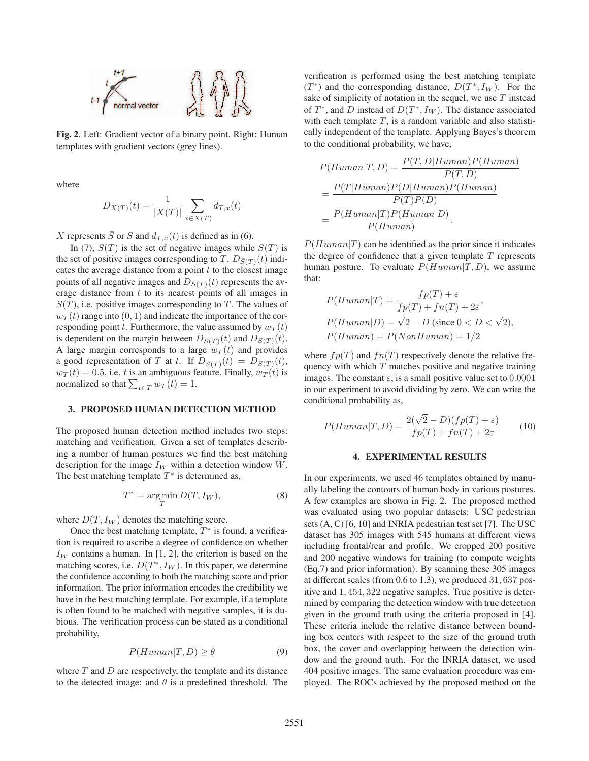

Fig. 2. Left: Gradient vector of a binary point. Right: Human templates with gradient vectors (grey lines).

where

$$
D_{X(T)}(t) = \frac{1}{|X(T)|} \sum_{x \in X(T)} d_{T,x}(t)
$$

X represents  $\overline{S}$  or S and  $d_{T,x}(t)$  is defined as in (6).

In (7),  $\overline{S}(T)$  is the set of negative images while  $S(T)$  is the set of positive images corresponding to T.  $D_{\bar{S}(T)}(t)$  indicates the average distance from a point  $t$  to the closest image points of all negative images and  $D_{S(T)}(t)$  represents the average distance from  $t$  to its nearest points of all images in  $S(T)$ , i.e. positive images corresponding to T. The values of  $w_T(t)$  range into  $(0, 1)$  and indicate the importance of the corresponding point t. Furthermore, the value assumed by  $w_T(t)$ is dependent on the margin between  $D_{\bar{S}(T)}(t)$  and  $D_{S(T)}(t)$ . A large margin corresponds to a large  $w_T(t)$  and provides a good representation of T at t. If  $D_{\bar{S}(T)}(t) = D_{S(T)}(t)$ ,  $w_T (t) = 0.5$ , i.e. t is an ambiguous feature. Finally,  $w_T (t)$  is normalized so that  $\sum_{t \in T} w_T(t) = 1$ .

### 3. PROPOSED HUMAN DETECTION METHOD

The proposed human detection method includes two steps: matching and verification. Given a set of templates describing a number of human postures we find the best matching description for the image  $I_W$  within a detection window W. The best matching template  $T^*$  is determined as,

$$
T^* = \underset{T}{\text{arg min}} D(T, I_W),\tag{8}
$$

where  $D(T, I_W)$  denotes the matching score.

Once the best matching template,  $T^*$  is found, a verification is required to ascribe a degree of confidence on whether  $I_W$  contains a human. In [1, 2], the criterion is based on the matching scores, i.e.  $D(T^*, I_W)$ . In this paper, we determine the confidence according to both the matching score and prior information. The prior information encodes the credibility we have in the best matching template. For example, if a template is often found to be matched with negative samples, it is dubious. The verification process can be stated as a conditional probability,

$$
P(Human|T, D) \ge \theta \tag{9}
$$

where  $T$  and  $D$  are respectively, the template and its distance to the detected image; and  $\theta$  is a predefined threshold. The

verification is performed using the best matching template  $(T^*)$  and the corresponding distance,  $D(T^*, I_W)$ . For the sake of simplicity of notation in the sequel, we use  $T$  instead of  $T^*$ , and D instead of  $D(T^*, I_W)$ . The distance associated with each template  $T$ , is a random variable and also statistically independent of the template. Applying Bayes's theorem to the conditional probability, we have,

$$
P(Human|T, D) = \frac{P(T, D|Human)P(Human)}{P(T, D)}
$$
  
= 
$$
\frac{P(T|Human)P(D|Human)P(Human)}{P(T)P(D)}
$$
  
= 
$$
\frac{P(Human|T)P(Human|D)}{P(Human)}.
$$

 $P(Human|T)$  can be identified as the prior since it indicates the degree of confidence that a given template  $T$  represents human posture. To evaluate  $P(Human|T,D)$ , we assume that:

$$
P(Human|T) = \frac{fp(T) + \varepsilon}{fp(T) + fn(T) + 2\varepsilon},
$$
  
 
$$
P(Human|D) = \sqrt{2} - D \text{ (since } 0 < D < \sqrt{2}),
$$
  
 
$$
P(Human) = P(NonHuman) = 1/2
$$

where  $fp(T)$  and  $fn(T)$  respectively denote the relative frequency with which  $T$  matches positive and negative training images. The constant  $\varepsilon$ , is a small positive value set to 0.0001 in our experiment to avoid dividing by zero. We can write the conditional probability as,

$$
P(Human|T, D) = \frac{2(\sqrt{2} - D)(fp(T) + \varepsilon)}{fp(T) + fn(T) + 2\varepsilon}
$$
 (10)

### 4. EXPERIMENTAL RESULTS

In our experiments, we used 46 templates obtained by manually labeling the contours of human body in various postures. A few examples are shown in Fig. 2. The proposed method was evaluated using two popular datasets: USC pedestrian sets (A, C) [6, 10] and INRIA pedestrian test set [7]. The USC dataset has 305 images with 545 humans at different views including frontal/rear and profile. We cropped 200 positive and 200 negative windows for training (to compute weights (Eq.7) and prior information). By scanning these 305 images at different scales (from 0.6 to 1.3), we produced 31, 637 positive and 1, 454, 322 negative samples. True positive is determined by comparing the detection window with true detection given in the ground truth using the criteria proposed in [4]. These criteria include the relative distance between bounding box centers with respect to the size of the ground truth box, the cover and overlapping between the detection window and the ground truth. For the INRIA dataset, we used 404 positive images. The same evaluation procedure was employed. The ROCs achieved by the proposed method on the